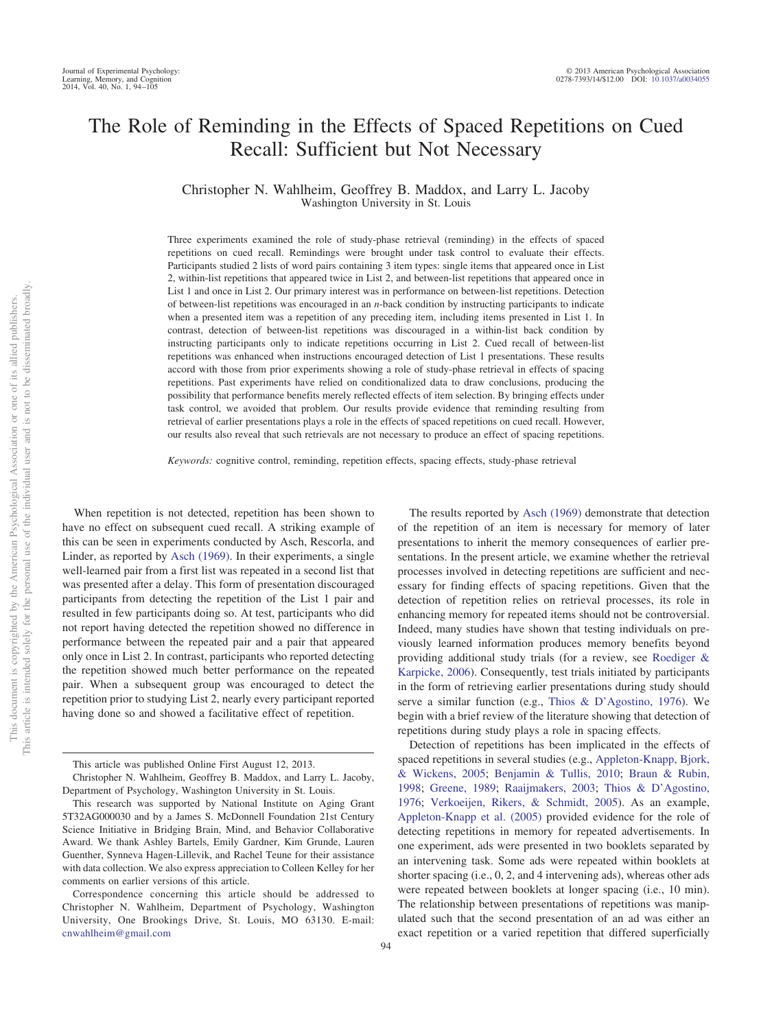# The Role of Reminding in the Effects of Spaced Repetitions on Cued Recall: Sufficient but Not Necessary

Christopher N. Wahlheim, Geoffrey B. Maddox, and Larry L. Jacoby Washington University in St. Louis

Three experiments examined the role of study-phase retrieval (reminding) in the effects of spaced repetitions on cued recall. Remindings were brought under task control to evaluate their effects. Participants studied 2 lists of word pairs containing 3 item types: single items that appeared once in List 2, within-list repetitions that appeared twice in List 2, and between-list repetitions that appeared once in List 1 and once in List 2. Our primary interest was in performance on between-list repetitions. Detection of between-list repetitions was encouraged in an *n*-back condition by instructing participants to indicate when a presented item was a repetition of any preceding item, including items presented in List 1. In contrast, detection of between-list repetitions was discouraged in a within-list back condition by instructing participants only to indicate repetitions occurring in List 2. Cued recall of between-list repetitions was enhanced when instructions encouraged detection of List 1 presentations. These results accord with those from prior experiments showing a role of study-phase retrieval in effects of spacing repetitions. Past experiments have relied on conditionalized data to draw conclusions, producing the possibility that performance benefits merely reflected effects of item selection. By bringing effects under task control, we avoided that problem. Our results provide evidence that reminding resulting from retrieval of earlier presentations plays a role in the effects of spaced repetitions on cued recall. However, our results also reveal that such retrievals are not necessary to produce an effect of spacing repetitions.

*Keywords:* cognitive control, reminding, repetition effects, spacing effects, study-phase retrieval

When repetition is not detected, repetition has been shown to have no effect on subsequent cued recall. A striking example of this can be seen in experiments conducted by Asch, Rescorla, and Linder, as reported by [Asch \(1969\).](#page-10-0) In their experiments, a single well-learned pair from a first list was repeated in a second list that was presented after a delay. This form of presentation discouraged participants from detecting the repetition of the List 1 pair and resulted in few participants doing so. At test, participants who did not report having detected the repetition showed no difference in performance between the repeated pair and a pair that appeared only once in List 2. In contrast, participants who reported detecting the repetition showed much better performance on the repeated pair. When a subsequent group was encouraged to detect the repetition prior to studying List 2, nearly every participant reported having done so and showed a facilitative effect of repetition.

The results reported by [Asch \(1969\)](#page-10-0) demonstrate that detection of the repetition of an item is necessary for memory of later presentations to inherit the memory consequences of earlier presentations. In the present article, we examine whether the retrieval processes involved in detecting repetitions are sufficient and necessary for finding effects of spacing repetitions. Given that the detection of repetition relies on retrieval processes, its role in enhancing memory for repeated items should not be controversial. Indeed, many studies have shown that testing individuals on previously learned information produces memory benefits beyond providing additional study trials (for a review, see [Roediger &](#page-10-1) [Karpicke, 2006\)](#page-10-1). Consequently, test trials initiated by participants in the form of retrieving earlier presentations during study should serve a similar function (e.g., [Thios & D'Agostino, 1976\)](#page-11-0). We begin with a brief review of the literature showing that detection of repetitions during study plays a role in spacing effects.

Detection of repetitions has been implicated in the effects of spaced repetitions in several studies (e.g., [Appleton-Knapp, Bjork,](#page-10-2) [& Wickens, 2005;](#page-10-2) [Benjamin & Tullis, 2010;](#page-10-3) [Braun & Rubin,](#page-10-4) [1998;](#page-10-4) [Greene, 1989;](#page-10-5) [Raaijmakers, 2003;](#page-10-6) [Thios & D'Agostino,](#page-11-0) [1976;](#page-11-0) [Verkoeijen, Rikers, & Schmidt, 2005\)](#page-11-1). As an example, [Appleton-Knapp et al. \(2005\)](#page-10-2) provided evidence for the role of detecting repetitions in memory for repeated advertisements. In one experiment, ads were presented in two booklets separated by an intervening task. Some ads were repeated within booklets at shorter spacing (i.e., 0, 2, and 4 intervening ads), whereas other ads were repeated between booklets at longer spacing (i.e., 10 min). The relationship between presentations of repetitions was manipulated such that the second presentation of an ad was either an exact repetition or a varied repetition that differed superficially

This article was published Online First August 12, 2013.

Christopher N. Wahlheim, Geoffrey B. Maddox, and Larry L. Jacoby, Department of Psychology, Washington University in St. Louis.

This research was supported by National Institute on Aging Grant 5T32AG000030 and by a James S. McDonnell Foundation 21st Century Science Initiative in Bridging Brain, Mind, and Behavior Collaborative Award. We thank Ashley Bartels, Emily Gardner, Kim Grunde, Lauren Guenther, Synneva Hagen-Lillevik, and Rachel Teune for their assistance with data collection. We also express appreciation to Colleen Kelley for her comments on earlier versions of this article.

Correspondence concerning this article should be addressed to Christopher N. Wahlheim, Department of Psychology, Washington University, One Brookings Drive, St. Louis, MO 63130. E-mail: [cnwahlheim@gmail.com](mailto:cnwahlheim@gmail.com)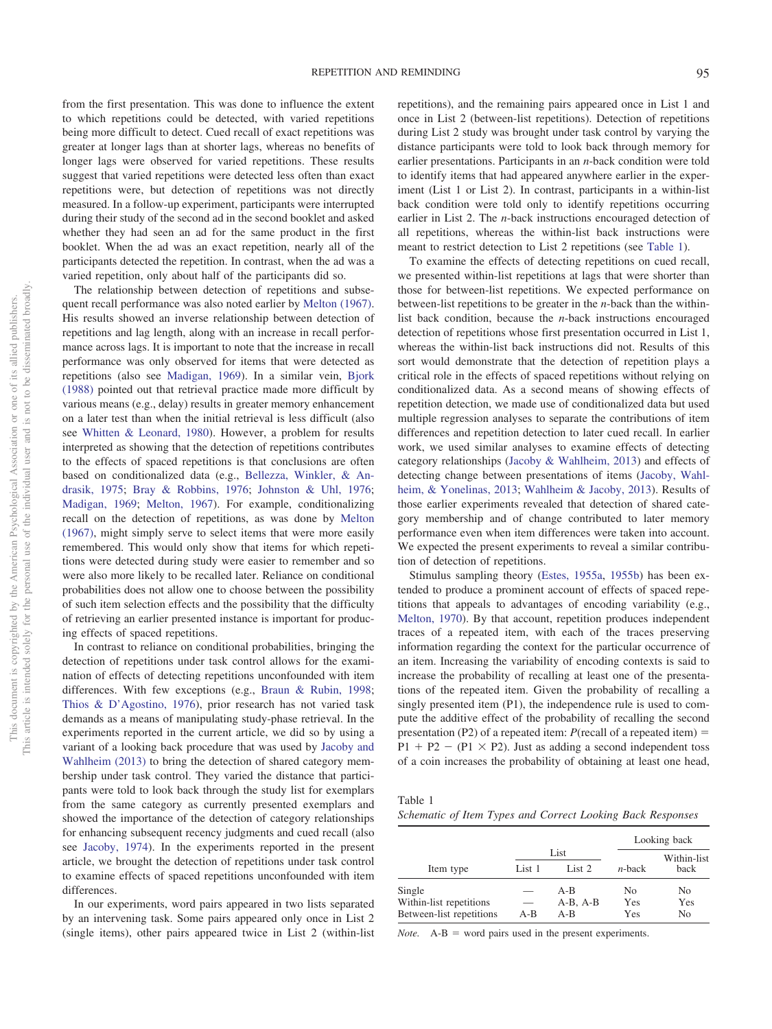from the first presentation. This was done to influence the extent to which repetitions could be detected, with varied repetitions being more difficult to detect. Cued recall of exact repetitions was greater at longer lags than at shorter lags, whereas no benefits of longer lags were observed for varied repetitions. These results suggest that varied repetitions were detected less often than exact repetitions were, but detection of repetitions was not directly measured. In a follow-up experiment, participants were interrupted during their study of the second ad in the second booklet and asked whether they had seen an ad for the same product in the first booklet. When the ad was an exact repetition, nearly all of the participants detected the repetition. In contrast, when the ad was a varied repetition, only about half of the participants did so.

The relationship between detection of repetitions and subsequent recall performance was also noted earlier by [Melton \(1967\).](#page-10-7) His results showed an inverse relationship between detection of repetitions and lag length, along with an increase in recall performance across lags. It is important to note that the increase in recall performance was only observed for items that were detected as repetitions (also see [Madigan, 1969\)](#page-10-8). In a similar vein, [Bjork](#page-10-9) [\(1988\)](#page-10-9) pointed out that retrieval practice made more difficult by various means (e.g., delay) results in greater memory enhancement on a later test than when the initial retrieval is less difficult (also see [Whitten & Leonard, 1980\)](#page-11-2). However, a problem for results interpreted as showing that the detection of repetitions contributes to the effects of spaced repetitions is that conclusions are often based on conditionalized data (e.g., [Bellezza, Winkler, & An](#page-10-10)[drasik, 1975;](#page-10-10) [Bray & Robbins, 1976;](#page-10-11) [Johnston & Uhl, 1976;](#page-10-12) [Madigan, 1969;](#page-10-8) [Melton, 1967\)](#page-10-7). For example, conditionalizing recall on the detection of repetitions, as was done by [Melton](#page-10-7) [\(1967\),](#page-10-7) might simply serve to select items that were more easily remembered. This would only show that items for which repetitions were detected during study were easier to remember and so were also more likely to be recalled later. Reliance on conditional probabilities does not allow one to choose between the possibility of such item selection effects and the possibility that the difficulty of retrieving an earlier presented instance is important for producing effects of spaced repetitions.

In contrast to reliance on conditional probabilities, bringing the detection of repetitions under task control allows for the examination of effects of detecting repetitions unconfounded with item differences. With few exceptions (e.g., [Braun & Rubin, 1998;](#page-10-4) [Thios & D'Agostino, 1976\)](#page-11-0), prior research has not varied task demands as a means of manipulating study-phase retrieval. In the experiments reported in the current article, we did so by using a variant of a looking back procedure that was used by [Jacoby and](#page-10-13) [Wahlheim \(2013\)](#page-10-13) to bring the detection of shared category membership under task control. They varied the distance that participants were told to look back through the study list for exemplars from the same category as currently presented exemplars and showed the importance of the detection of category relationships for enhancing subsequent recency judgments and cued recall (also see [Jacoby, 1974\)](#page-10-14). In the experiments reported in the present article, we brought the detection of repetitions under task control to examine effects of spaced repetitions unconfounded with item differences.

In our experiments, word pairs appeared in two lists separated by an intervening task. Some pairs appeared only once in List 2 (single items), other pairs appeared twice in List 2 (within-list repetitions), and the remaining pairs appeared once in List 1 and once in List 2 (between-list repetitions). Detection of repetitions during List 2 study was brought under task control by varying the distance participants were told to look back through memory for earlier presentations. Participants in an *n*-back condition were told to identify items that had appeared anywhere earlier in the experiment (List 1 or List 2). In contrast, participants in a within-list back condition were told only to identify repetitions occurring earlier in List 2. The *n*-back instructions encouraged detection of all repetitions, whereas the within-list back instructions were meant to restrict detection to List 2 repetitions (see [Table 1\)](#page-1-0).

To examine the effects of detecting repetitions on cued recall, we presented within-list repetitions at lags that were shorter than those for between-list repetitions. We expected performance on between-list repetitions to be greater in the *n*-back than the withinlist back condition, because the *n*-back instructions encouraged detection of repetitions whose first presentation occurred in List 1, whereas the within-list back instructions did not. Results of this sort would demonstrate that the detection of repetition plays a critical role in the effects of spaced repetitions without relying on conditionalized data. As a second means of showing effects of repetition detection, we made use of conditionalized data but used multiple regression analyses to separate the contributions of item differences and repetition detection to later cued recall. In earlier work, we used similar analyses to examine effects of detecting category relationships [\(Jacoby & Wahlheim, 2013\)](#page-10-13) and effects of detecting change between presentations of items [\(Jacoby, Wahl](#page-10-15)[heim, & Yonelinas, 2013;](#page-10-15) [Wahlheim & Jacoby, 2013\)](#page-11-3). Results of those earlier experiments revealed that detection of shared category membership and of change contributed to later memory performance even when item differences were taken into account. We expected the present experiments to reveal a similar contribution of detection of repetitions.

Stimulus sampling theory [\(Estes, 1955a,](#page-10-16) [1955b\)](#page-10-17) has been extended to produce a prominent account of effects of spaced repetitions that appeals to advantages of encoding variability (e.g., [Melton, 1970\)](#page-10-18). By that account, repetition produces independent traces of a repeated item, with each of the traces preserving information regarding the context for the particular occurrence of an item. Increasing the variability of encoding contexts is said to increase the probability of recalling at least one of the presentations of the repeated item. Given the probability of recalling a singly presented item (P1), the independence rule is used to compute the additive effect of the probability of recalling the second presentation (P2) of a repeated item: *P*(recall of a repeated item)  $P1 + P2 - (P1 \times P2)$ . Just as adding a second independent toss of a coin increases the probability of obtaining at least one head,

<span id="page-1-0"></span>Table 1

*Schematic of Item Types and Correct Looking Back Responses*

|                          |        |            |           | Looking back |
|--------------------------|--------|------------|-----------|--------------|
|                          |        | List       |           | Within-list  |
| Item type                | List 1 | List 2     | $n$ -back | <b>back</b>  |
| Single                   |        | $A-B$      | No        | No           |
| Within-list repetitions  |        | $A-B, A-B$ | Yes       | Yes          |
| Between-list repetitions | $A-B$  | $A-B$      | Yes       | No           |

*Note.*  $A-B = word pairs used in the present experiments.$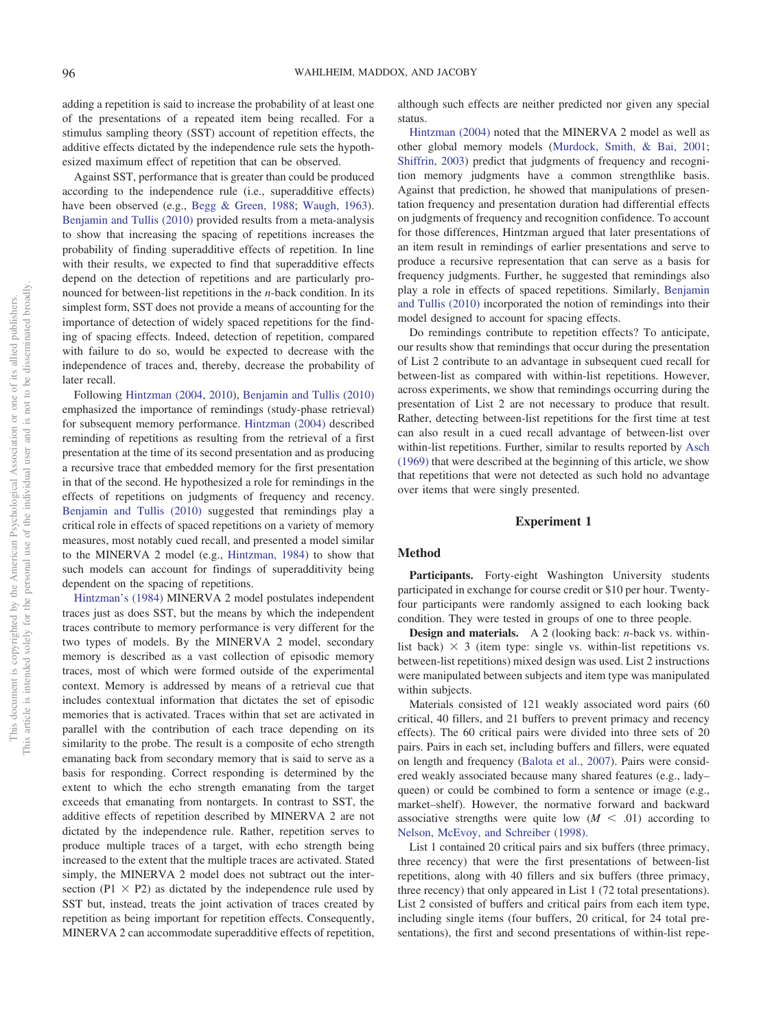adding a repetition is said to increase the probability of at least one of the presentations of a repeated item being recalled. For a stimulus sampling theory (SST) account of repetition effects, the additive effects dictated by the independence rule sets the hypothesized maximum effect of repetition that can be observed.

Against SST, performance that is greater than could be produced according to the independence rule (i.e., superadditive effects) have been observed (e.g., [Begg & Green, 1988;](#page-10-19) [Waugh, 1963\)](#page-11-4). [Benjamin and Tullis \(2010\)](#page-10-3) provided results from a meta-analysis to show that increasing the spacing of repetitions increases the probability of finding superadditive effects of repetition. In line with their results, we expected to find that superadditive effects depend on the detection of repetitions and are particularly pronounced for between-list repetitions in the *n*-back condition. In its simplest form, SST does not provide a means of accounting for the importance of detection of widely spaced repetitions for the finding of spacing effects. Indeed, detection of repetition, compared with failure to do so, would be expected to decrease with the independence of traces and, thereby, decrease the probability of later recall.

Following [Hintzman \(2004,](#page-10-20) [2010\)](#page-10-21), [Benjamin and Tullis \(2010\)](#page-10-3) emphasized the importance of remindings (study-phase retrieval) for subsequent memory performance. [Hintzman \(2004\)](#page-10-20) described reminding of repetitions as resulting from the retrieval of a first presentation at the time of its second presentation and as producing a recursive trace that embedded memory for the first presentation in that of the second. He hypothesized a role for remindings in the effects of repetitions on judgments of frequency and recency. [Benjamin and Tullis \(2010\)](#page-10-3) suggested that remindings play a critical role in effects of spaced repetitions on a variety of memory measures, most notably cued recall, and presented a model similar to the MINERVA 2 model (e.g., [Hintzman, 1984\)](#page-10-22) to show that such models can account for findings of superadditivity being dependent on the spacing of repetitions.

[Hintzman's \(1984\)](#page-10-22) MINERVA 2 model postulates independent traces just as does SST, but the means by which the independent traces contribute to memory performance is very different for the two types of models. By the MINERVA 2 model, secondary memory is described as a vast collection of episodic memory traces, most of which were formed outside of the experimental context. Memory is addressed by means of a retrieval cue that includes contextual information that dictates the set of episodic memories that is activated. Traces within that set are activated in parallel with the contribution of each trace depending on its similarity to the probe. The result is a composite of echo strength emanating back from secondary memory that is said to serve as a basis for responding. Correct responding is determined by the extent to which the echo strength emanating from the target exceeds that emanating from nontargets. In contrast to SST, the additive effects of repetition described by MINERVA 2 are not dictated by the independence rule. Rather, repetition serves to produce multiple traces of a target, with echo strength being increased to the extent that the multiple traces are activated. Stated simply, the MINERVA 2 model does not subtract out the intersection (P1  $\times$  P2) as dictated by the independence rule used by SST but, instead, treats the joint activation of traces created by repetition as being important for repetition effects. Consequently, MINERVA 2 can accommodate superadditive effects of repetition,

although such effects are neither predicted nor given any special status.

[Hintzman \(2004\)](#page-10-20) noted that the MINERVA 2 model as well as other global memory models [\(Murdock, Smith, & Bai, 2001;](#page-10-23) [Shiffrin, 2003\)](#page-11-5) predict that judgments of frequency and recognition memory judgments have a common strengthlike basis. Against that prediction, he showed that manipulations of presentation frequency and presentation duration had differential effects on judgments of frequency and recognition confidence. To account for those differences, Hintzman argued that later presentations of an item result in remindings of earlier presentations and serve to produce a recursive representation that can serve as a basis for frequency judgments. Further, he suggested that remindings also play a role in effects of spaced repetitions. Similarly, [Benjamin](#page-10-3) [and Tullis \(2010\)](#page-10-3) incorporated the notion of remindings into their model designed to account for spacing effects.

Do remindings contribute to repetition effects? To anticipate, our results show that remindings that occur during the presentation of List 2 contribute to an advantage in subsequent cued recall for between-list as compared with within-list repetitions. However, across experiments, we show that remindings occurring during the presentation of List 2 are not necessary to produce that result. Rather, detecting between-list repetitions for the first time at test can also result in a cued recall advantage of between-list over within-list repetitions. Further, similar to results reported by [Asch](#page-10-0) [\(1969\)](#page-10-0) that were described at the beginning of this article, we show that repetitions that were not detected as such hold no advantage over items that were singly presented.

# **Experiment 1**

# **Method**

Participants. Forty-eight Washington University students participated in exchange for course credit or \$10 per hour. Twentyfour participants were randomly assigned to each looking back condition. They were tested in groups of one to three people.

**Design and materials.** A 2 (looking back: *n*-back vs. withinlist back)  $\times$  3 (item type: single vs. within-list repetitions vs. between-list repetitions) mixed design was used. List 2 instructions were manipulated between subjects and item type was manipulated within subjects.

Materials consisted of 121 weakly associated word pairs (60 critical, 40 fillers, and 21 buffers to prevent primacy and recency effects). The 60 critical pairs were divided into three sets of 20 pairs. Pairs in each set, including buffers and fillers, were equated on length and frequency [\(Balota et al., 2007\)](#page-10-24). Pairs were considered weakly associated because many shared features (e.g., lady– queen) or could be combined to form a sentence or image (e.g., market–shelf). However, the normative forward and backward associative strengths were quite low  $(M < .01)$  according to [Nelson, McEvoy, and Schreiber \(1998\).](#page-10-25)

List 1 contained 20 critical pairs and six buffers (three primacy, three recency) that were the first presentations of between-list repetitions, along with 40 fillers and six buffers (three primacy, three recency) that only appeared in List 1 (72 total presentations). List 2 consisted of buffers and critical pairs from each item type, including single items (four buffers, 20 critical, for 24 total presentations), the first and second presentations of within-list repe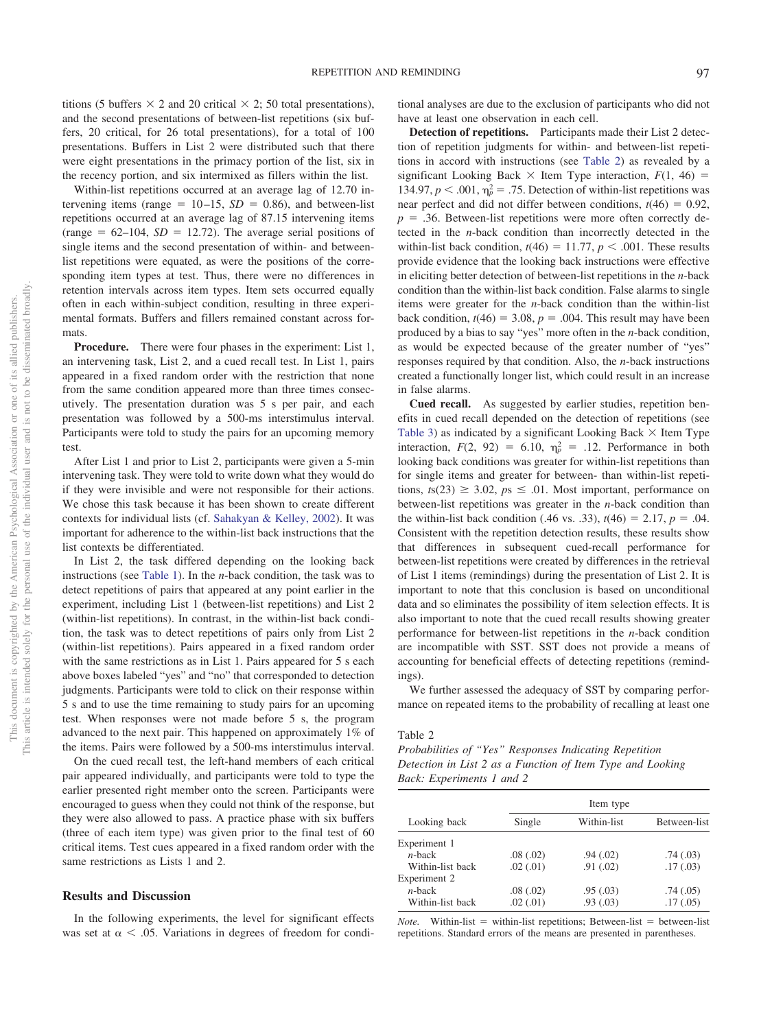titions (5 buffers  $\times$  2 and 20 critical  $\times$  2; 50 total presentations), and the second presentations of between-list repetitions (six buffers, 20 critical, for 26 total presentations), for a total of 100 presentations. Buffers in List 2 were distributed such that there were eight presentations in the primacy portion of the list, six in the recency portion, and six intermixed as fillers within the list.

Within-list repetitions occurred at an average lag of 12.70 intervening items (range  $= 10 - 15$ ,  $SD = 0.86$ ), and between-list repetitions occurred at an average lag of 87.15 intervening items (range  $= 62-104$ ,  $SD = 12.72$ ). The average serial positions of single items and the second presentation of within- and betweenlist repetitions were equated, as were the positions of the corresponding item types at test. Thus, there were no differences in retention intervals across item types. Item sets occurred equally often in each within-subject condition, resulting in three experimental formats. Buffers and fillers remained constant across formats.

**Procedure.** There were four phases in the experiment: List 1, an intervening task, List 2, and a cued recall test. In List 1, pairs appeared in a fixed random order with the restriction that none from the same condition appeared more than three times consecutively. The presentation duration was 5 s per pair, and each presentation was followed by a 500-ms interstimulus interval. Participants were told to study the pairs for an upcoming memory test.

After List 1 and prior to List 2, participants were given a 5-min intervening task. They were told to write down what they would do if they were invisible and were not responsible for their actions. We chose this task because it has been shown to create different contexts for individual lists (cf. [Sahakyan & Kelley, 2002\)](#page-11-6). It was important for adherence to the within-list back instructions that the list contexts be differentiated.

In List 2, the task differed depending on the looking back instructions (see [Table 1\)](#page-1-0). In the *n*-back condition, the task was to detect repetitions of pairs that appeared at any point earlier in the experiment, including List 1 (between-list repetitions) and List 2 (within-list repetitions). In contrast, in the within-list back condition, the task was to detect repetitions of pairs only from List 2 (within-list repetitions). Pairs appeared in a fixed random order with the same restrictions as in List 1. Pairs appeared for 5 s each above boxes labeled "yes" and "no" that corresponded to detection judgments. Participants were told to click on their response within 5 s and to use the time remaining to study pairs for an upcoming test. When responses were not made before 5 s, the program advanced to the next pair. This happened on approximately 1% of the items. Pairs were followed by a 500-ms interstimulus interval.

On the cued recall test, the left-hand members of each critical pair appeared individually, and participants were told to type the earlier presented right member onto the screen. Participants were encouraged to guess when they could not think of the response, but they were also allowed to pass. A practice phase with six buffers (three of each item type) was given prior to the final test of 60 critical items. Test cues appeared in a fixed random order with the same restrictions as Lists 1 and 2.

#### **Results and Discussion**

In the following experiments, the level for significant effects was set at  $\alpha$  < .05. Variations in degrees of freedom for conditional analyses are due to the exclusion of participants who did not have at least one observation in each cell.

**Detection of repetitions.** Participants made their List 2 detection of repetition judgments for within- and between-list repetitions in accord with instructions (see [Table 2\)](#page-3-0) as revealed by a significant Looking Back  $\times$  Item Type interaction,  $F(1, 46)$  = 134.97,  $p < .001$ ,  $\eta_p^2 = .75$ . Detection of within-list repetitions was near perfect and did not differ between conditions,  $t(46) = 0.92$ ,  $p = .36$ . Between-list repetitions were more often correctly detected in the *n*-back condition than incorrectly detected in the within-list back condition,  $t(46) = 11.77$ ,  $p < .001$ . These results provide evidence that the looking back instructions were effective in eliciting better detection of between-list repetitions in the *n*-back condition than the within-list back condition. False alarms to single items were greater for the *n*-back condition than the within-list back condition,  $t(46) = 3.08$ ,  $p = .004$ . This result may have been produced by a bias to say "yes" more often in the *n*-back condition, as would be expected because of the greater number of "yes" responses required by that condition. Also, the *n*-back instructions created a functionally longer list, which could result in an increase in false alarms.

**Cued recall.** As suggested by earlier studies, repetition benefits in cued recall depended on the detection of repetitions (see [Table 3\)](#page-4-0) as indicated by a significant Looking Back  $\times$  Item Type interaction,  $F(2, 92) = 6.10$ ,  $\eta_p^2 = .12$ . Performance in both looking back conditions was greater for within-list repetitions than for single items and greater for between- than within-list repetitions,  $t s(23) \geq 3.02$ ,  $p s \leq .01$ . Most important, performance on between-list repetitions was greater in the *n*-back condition than the within-list back condition (.46 vs. .33),  $t(46) = 2.17$ ,  $p = .04$ . Consistent with the repetition detection results, these results show that differences in subsequent cued-recall performance for between-list repetitions were created by differences in the retrieval of List 1 items (remindings) during the presentation of List 2. It is important to note that this conclusion is based on unconditional data and so eliminates the possibility of item selection effects. It is also important to note that the cued recall results showing greater performance for between-list repetitions in the *n*-back condition are incompatible with SST. SST does not provide a means of accounting for beneficial effects of detecting repetitions (remindings).

We further assessed the adequacy of SST by comparing performance on repeated items to the probability of recalling at least one

# <span id="page-3-0"></span>Table 2

| Probabilities of "Yes" Responses Indicating Repetition     |
|------------------------------------------------------------|
| Detection in List 2 as a Function of Item Type and Looking |
| Back: Experiments 1 and 2                                  |

|                  |           | Item type   |              |
|------------------|-----------|-------------|--------------|
| Looking back     | Single    | Within-list | Between-list |
| Experiment 1     |           |             |              |
| $n$ -back        | .08(.02)  | .94(02)     | .74(.03)     |
| Within-list back | .02(0.01) | .91(.02)    | .17(.03)     |
| Experiment 2     |           |             |              |
| $n$ -back        | .08(.02)  | .95(.03)    | .74(.05)     |
| Within-list back | .02(0.01) | .93(0.03)   | .17(.05)     |
|                  |           |             |              |

*Note.* Within-list = within-list repetitions; Between-list = between-list repetitions. Standard errors of the means are presented in parentheses.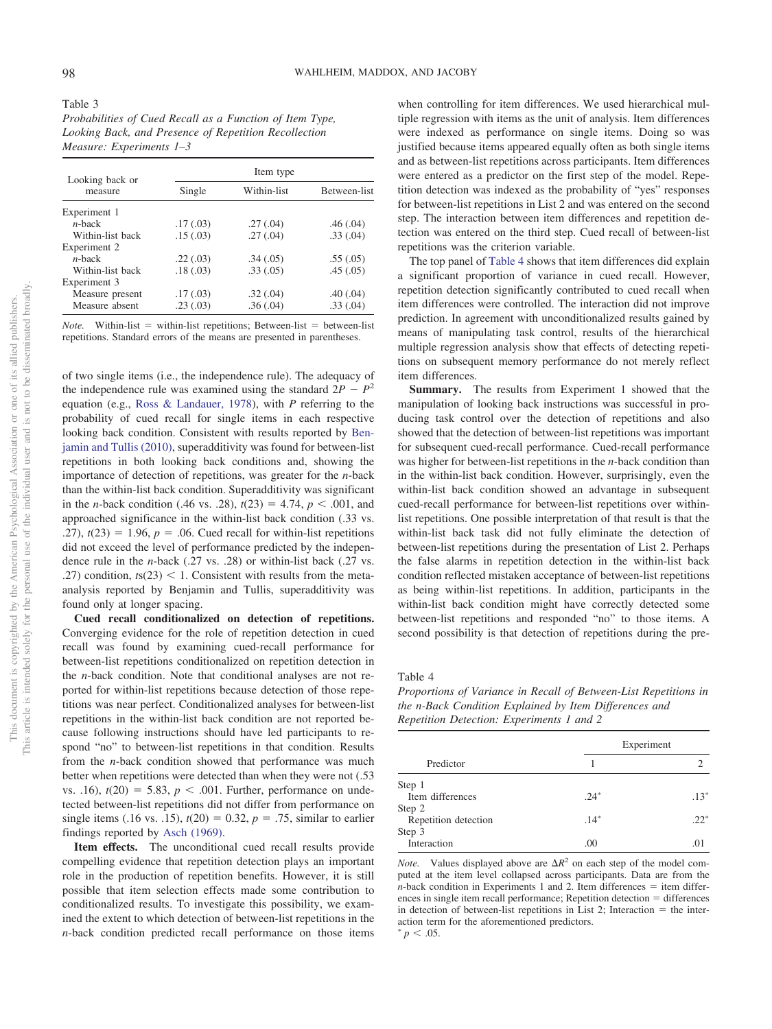<span id="page-4-0"></span>

| Table 3                                                  |
|----------------------------------------------------------|
| Probabilities of Cued Recall as a Function of Item Type, |
| Looking Back, and Presence of Repetition Recollection    |
| Measure: Experiments $1-3$                               |

| Looking back or<br>measure |          |             |              |
|----------------------------|----------|-------------|--------------|
|                            | Single   | Within-list | Between-list |
| Experiment 1               |          |             |              |
| $n$ -back                  | .17(03)  | .27(.04)    | .46(.04)     |
| Within-list back           | .15(.03) | .27(.04)    | .33(.04)     |
| Experiment 2               |          |             |              |
| $n$ -back                  | .22(.03) | .34(.05)    | .55(.05)     |
| Within-list back           | .18(.03) | .33(.05)    | .45(.05)     |
| Experiment 3               |          |             |              |
| Measure present            | .17(03)  | .32(.04)    | .40(0.04)    |
| Measure absent             | .23(.03) | .36(.04)    | .33(.04)     |

*Note.* Within-list = within-list repetitions; Between-list = between-list repetitions. Standard errors of the means are presented in parentheses.

of two single items (i.e., the independence rule). The adequacy of the independence rule was examined using the standard  $2P - P^2$ equation (e.g., [Ross & Landauer, 1978\)](#page-10-26), with *P* referring to the probability of cued recall for single items in each respective looking back condition. Consistent with results reported by [Ben](#page-10-3)[jamin and Tullis \(2010\),](#page-10-3) superadditivity was found for between-list repetitions in both looking back conditions and, showing the importance of detection of repetitions, was greater for the *n*-back than the within-list back condition. Superadditivity was significant in the *n*-back condition (.46 vs. .28),  $t(23) = 4.74$ ,  $p < .001$ , and approached significance in the within-list back condition (.33 vs. .27),  $t(23) = 1.96$ ,  $p = .06$ . Cued recall for within-list repetitions did not exceed the level of performance predicted by the independence rule in the *n*-back (.27 vs. .28) or within-list back (.27 vs. .27) condition,  $t s(23) < 1$ . Consistent with results from the metaanalysis reported by Benjamin and Tullis, superadditivity was found only at longer spacing.

**Cued recall conditionalized on detection of repetitions.** Converging evidence for the role of repetition detection in cued recall was found by examining cued-recall performance for between-list repetitions conditionalized on repetition detection in the *n*-back condition. Note that conditional analyses are not reported for within-list repetitions because detection of those repetitions was near perfect. Conditionalized analyses for between-list repetitions in the within-list back condition are not reported because following instructions should have led participants to respond "no" to between-list repetitions in that condition. Results from the *n-*back condition showed that performance was much better when repetitions were detected than when they were not (.53 vs. .16),  $t(20) = 5.83$ ,  $p < .001$ . Further, performance on undetected between-list repetitions did not differ from performance on single items (.16 vs. .15),  $t(20) = 0.32$ ,  $p = .75$ , similar to earlier findings reported by [Asch \(1969\).](#page-10-0)

Item effects. The unconditional cued recall results provide compelling evidence that repetition detection plays an important role in the production of repetition benefits. However, it is still possible that item selection effects made some contribution to conditionalized results. To investigate this possibility, we examined the extent to which detection of between-list repetitions in the *n*-back condition predicted recall performance on those items

when controlling for item differences. We used hierarchical multiple regression with items as the unit of analysis. Item differences were indexed as performance on single items. Doing so was justified because items appeared equally often as both single items and as between-list repetitions across participants. Item differences were entered as a predictor on the first step of the model. Repetition detection was indexed as the probability of "yes" responses for between-list repetitions in List 2 and was entered on the second step. The interaction between item differences and repetition detection was entered on the third step. Cued recall of between-list repetitions was the criterion variable.

The top panel of [Table 4](#page-4-1) shows that item differences did explain a significant proportion of variance in cued recall. However, repetition detection significantly contributed to cued recall when item differences were controlled. The interaction did not improve prediction. In agreement with unconditionalized results gained by means of manipulating task control, results of the hierarchical multiple regression analysis show that effects of detecting repetitions on subsequent memory performance do not merely reflect item differences.

**Summary.** The results from Experiment 1 showed that the manipulation of looking back instructions was successful in producing task control over the detection of repetitions and also showed that the detection of between-list repetitions was important for subsequent cued-recall performance. Cued-recall performance was higher for between-list repetitions in the *n-*back condition than in the within-list back condition. However, surprisingly, even the within-list back condition showed an advantage in subsequent cued-recall performance for between-list repetitions over withinlist repetitions. One possible interpretation of that result is that the within-list back task did not fully eliminate the detection of between-list repetitions during the presentation of List 2. Perhaps the false alarms in repetition detection in the within-list back condition reflected mistaken acceptance of between-list repetitions as being within-list repetitions. In addition, participants in the within-list back condition might have correctly detected some between-list repetitions and responded "no" to those items. A second possibility is that detection of repetitions during the pre-

#### <span id="page-4-1"></span>Table 4

*Proportions of Variance in Recall of Between-List Repetitions in the n-Back Condition Explained by Item Differences and Repetition Detection: Experiments 1 and 2*

| Experiment |          |
|------------|----------|
|            |          |
|            |          |
| $.24*$     | $.13*$   |
|            |          |
| $.14*$     | $22^*$   |
|            |          |
| .00        | $\theta$ |
|            |          |

*Note.* Values displayed above are  $\Delta R^2$  on each step of the model computed at the item level collapsed across participants. Data are from the  $n$ -back condition in Experiments 1 and 2. Item differences  $=$  item differences in single item recall performance; Repetition detection  $=$  differences in detection of between-list repetitions in List 2; Interaction  $=$  the interaction term for the aforementioned predictors.

 $p < .05$ .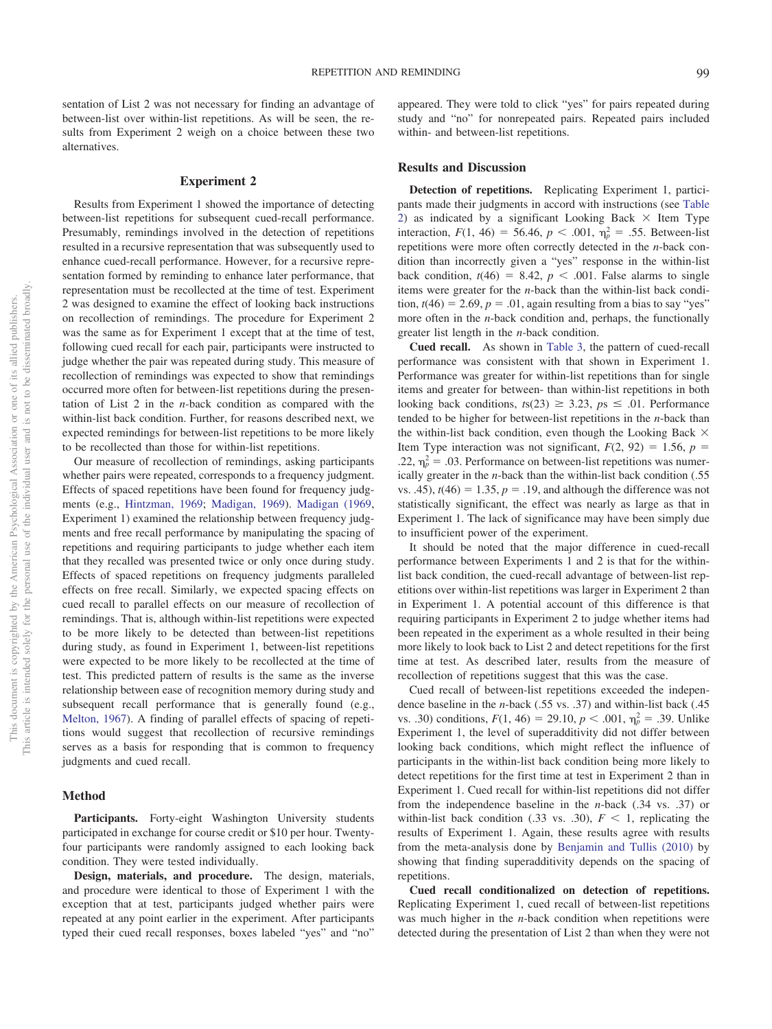sentation of List 2 was not necessary for finding an advantage of between-list over within-list repetitions. As will be seen, the results from Experiment 2 weigh on a choice between these two alternatives.

#### **Experiment 2**

Results from Experiment 1 showed the importance of detecting between-list repetitions for subsequent cued-recall performance. Presumably, remindings involved in the detection of repetitions resulted in a recursive representation that was subsequently used to enhance cued-recall performance. However, for a recursive representation formed by reminding to enhance later performance, that representation must be recollected at the time of test. Experiment 2 was designed to examine the effect of looking back instructions on recollection of remindings. The procedure for Experiment 2 was the same as for Experiment 1 except that at the time of test, following cued recall for each pair, participants were instructed to judge whether the pair was repeated during study. This measure of recollection of remindings was expected to show that remindings occurred more often for between-list repetitions during the presentation of List 2 in the *n-*back condition as compared with the within-list back condition. Further, for reasons described next, we expected remindings for between-list repetitions to be more likely to be recollected than those for within-list repetitions.

Our measure of recollection of remindings, asking participants whether pairs were repeated, corresponds to a frequency judgment. Effects of spaced repetitions have been found for frequency judgments (e.g., [Hintzman, 1969;](#page-10-27) [Madigan, 1969\)](#page-10-8). [Madigan \(1969,](#page-10-8) Experiment 1) examined the relationship between frequency judgments and free recall performance by manipulating the spacing of repetitions and requiring participants to judge whether each item that they recalled was presented twice or only once during study. Effects of spaced repetitions on frequency judgments paralleled effects on free recall. Similarly, we expected spacing effects on cued recall to parallel effects on our measure of recollection of remindings. That is, although within-list repetitions were expected to be more likely to be detected than between-list repetitions during study, as found in Experiment 1, between-list repetitions were expected to be more likely to be recollected at the time of test. This predicted pattern of results is the same as the inverse relationship between ease of recognition memory during study and subsequent recall performance that is generally found (e.g., [Melton, 1967\)](#page-10-7). A finding of parallel effects of spacing of repetitions would suggest that recollection of recursive remindings serves as a basis for responding that is common to frequency judgments and cued recall.

# **Method**

Participants. Forty-eight Washington University students participated in exchange for course credit or \$10 per hour. Twentyfour participants were randomly assigned to each looking back condition. They were tested individually.

**Design, materials, and procedure.** The design, materials, and procedure were identical to those of Experiment 1 with the exception that at test, participants judged whether pairs were repeated at any point earlier in the experiment. After participants typed their cued recall responses, boxes labeled "yes" and "no" appeared. They were told to click "yes" for pairs repeated during study and "no" for nonrepeated pairs. Repeated pairs included within- and between-list repetitions.

#### **Results and Discussion**

**Detection of repetitions.** Replicating Experiment 1, participants made their judgments in accord with instructions (see [Table](#page-3-0) [2\)](#page-3-0) as indicated by a significant Looking Back  $\times$  Item Type interaction,  $F(1, 46) = 56.46$ ,  $p < .001$ ,  $\eta_p^2 = .55$ . Between-list repetitions were more often correctly detected in the *n*-back condition than incorrectly given a "yes" response in the within-list back condition,  $t(46) = 8.42$ ,  $p < .001$ . False alarms to single items were greater for the *n*-back than the within-list back condition,  $t(46) = 2.69$ ,  $p = .01$ , again resulting from a bias to say "yes" more often in the *n*-back condition and, perhaps, the functionally greater list length in the *n-*back condition.

**Cued recall.** As shown in [Table 3,](#page-4-0) the pattern of cued-recall performance was consistent with that shown in Experiment 1. Performance was greater for within-list repetitions than for single items and greater for between- than within-list repetitions in both looking back conditions,  $t s(23) \geq 3.23$ ,  $p s \leq .01$ . Performance tended to be higher for between-list repetitions in the *n*-back than the within-list back condition, even though the Looking Back  $\times$ Item Type interaction was not significant,  $F(2, 92) = 1.56$ ,  $p =$ .22,  $\eta_p^2 = .03$ . Performance on between-list repetitions was numerically greater in the *n*-back than the within-list back condition (.55 vs. .45),  $t(46) = 1.35$ ,  $p = .19$ , and although the difference was not statistically significant, the effect was nearly as large as that in Experiment 1. The lack of significance may have been simply due to insufficient power of the experiment.

It should be noted that the major difference in cued-recall performance between Experiments 1 and 2 is that for the withinlist back condition, the cued-recall advantage of between-list repetitions over within-list repetitions was larger in Experiment 2 than in Experiment 1. A potential account of this difference is that requiring participants in Experiment 2 to judge whether items had been repeated in the experiment as a whole resulted in their being more likely to look back to List 2 and detect repetitions for the first time at test. As described later, results from the measure of recollection of repetitions suggest that this was the case.

Cued recall of between-list repetitions exceeded the independence baseline in the *n*-back (.55 vs. .37) and within-list back (.45 vs. .30) conditions,  $F(1, 46) = 29.10, p < .001, \eta_p^2 = .39$ . Unlike Experiment 1, the level of superadditivity did not differ between looking back conditions, which might reflect the influence of participants in the within-list back condition being more likely to detect repetitions for the first time at test in Experiment 2 than in Experiment 1. Cued recall for within-list repetitions did not differ from the independence baseline in the *n*-back (.34 vs. .37) or within-list back condition (.33 vs. .30),  $F < 1$ , replicating the results of Experiment 1. Again, these results agree with results from the meta-analysis done by [Benjamin and Tullis \(2010\)](#page-10-3) by showing that finding superadditivity depends on the spacing of repetitions.

**Cued recall conditionalized on detection of repetitions.** Replicating Experiment 1, cued recall of between-list repetitions was much higher in the *n-*back condition when repetitions were detected during the presentation of List 2 than when they were not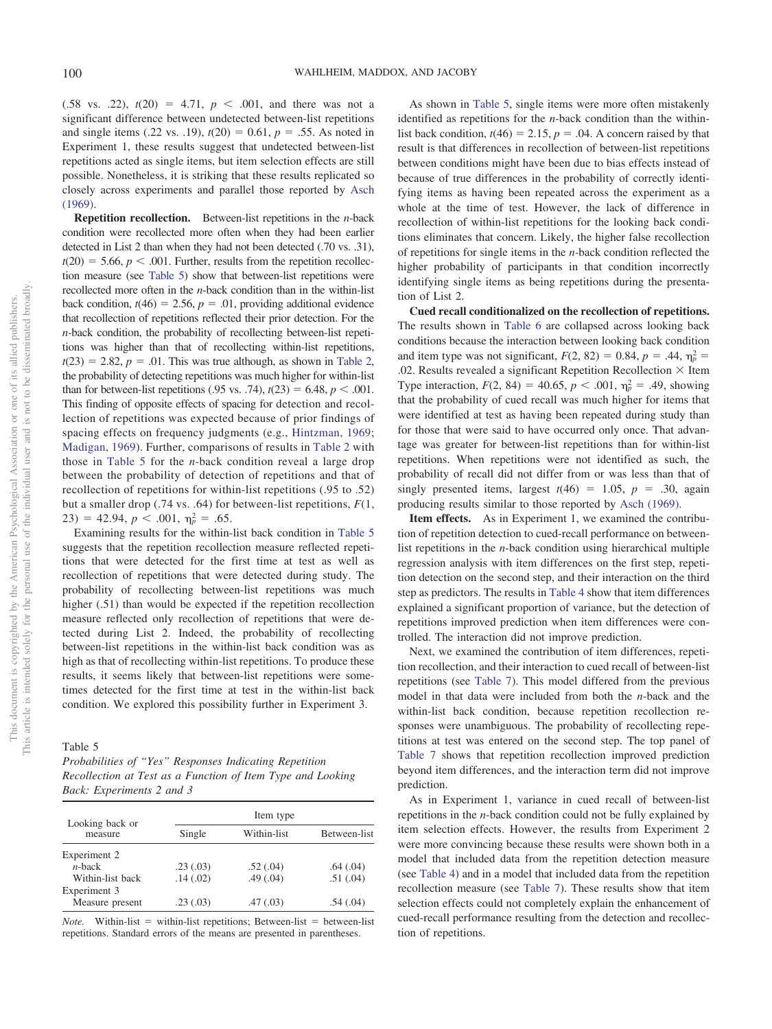$(.58 \text{ vs. } .22), t(20) = 4.71, p < .001, \text{ and there was not a}$ significant difference between undetected between-list repetitions and single items (.22 vs. .19),  $t(20) = 0.61$ ,  $p = .55$ . As noted in Experiment 1, these results suggest that undetected between-list repetitions acted as single items, but item selection effects are still possible. Nonetheless, it is striking that these results replicated so closely across experiments and parallel those reported by [Asch](#page-10-0) [\(1969\).](#page-10-0)

**Repetition recollection.** Between-list repetitions in the *n*-back condition were recollected more often when they had been earlier detected in List 2 than when they had not been detected (.70 vs. .31),  $t(20) = 5.66$ ,  $p < .001$ . Further, results from the repetition recollection measure (see [Table 5\)](#page-6-0) show that between-list repetitions were recollected more often in the *n*-back condition than in the within-list back condition,  $t(46) = 2.56$ ,  $p = .01$ , providing additional evidence that recollection of repetitions reflected their prior detection. For the *n-*back condition, the probability of recollecting between-list repetitions was higher than that of recollecting within-list repetitions,  $t(23) = 2.82$ ,  $p = .01$ . This was true although, as shown in [Table 2,](#page-3-0) the probability of detecting repetitions was much higher for within-list than for between-list repetitions (.95 vs. .74),  $t(23) = 6.48$ ,  $p < .001$ . This finding of opposite effects of spacing for detection and recollection of repetitions was expected because of prior findings of spacing effects on frequency judgments (e.g., [Hintzman, 1969;](#page-10-27) [Madigan, 1969\)](#page-10-8). Further, comparisons of results in [Table 2](#page-3-0) with those in [Table 5](#page-6-0) for the *n-*back condition reveal a large drop between the probability of detection of repetitions and that of recollection of repetitions for within-list repetitions (.95 to .52) but a smaller drop (.74 vs. .64) for between-list repetitions, *F*(1, 23) = 42.94,  $p < .001$ ,  $\eta_p^2 = .65$ .

Examining results for the within-list back condition in [Table 5](#page-6-0) suggests that the repetition recollection measure reflected repetitions that were detected for the first time at test as well as recollection of repetitions that were detected during study. The probability of recollecting between-list repetitions was much higher (.51) than would be expected if the repetition recollection measure reflected only recollection of repetitions that were detected during List 2. Indeed, the probability of recollecting between-list repetitions in the within-list back condition was as high as that of recollecting within-list repetitions. To produce these results, it seems likely that between-list repetitions were sometimes detected for the first time at test in the within-list back condition. We explored this possibility further in Experiment 3.

#### <span id="page-6-0"></span>Table 5

*Probabilities of "Yes" Responses Indicating Repetition Recollection at Test as a Function of Item Type and Looking Back: Experiments 2 and 3*

| Looking back or  |           | Item type   |              |
|------------------|-----------|-------------|--------------|
| measure          | Single    | Within-list | Between-list |
| Experiment 2     |           |             |              |
| $n$ -back        | .23(0.03) | .52(.04)    | .64(.04)     |
| Within-list back | .14(.02)  | .49(.04)    | .51(.04)     |
| Experiment 3     |           |             |              |
| Measure present  | .23(0.03) | .47(03)     | .54(.04)     |

*Note.* Within-list = within-list repetitions; Between-list = between-list repetitions. Standard errors of the means are presented in parentheses.

As shown in [Table 5,](#page-6-0) single items were more often mistakenly identified as repetitions for the *n*-back condition than the withinlist back condition,  $t(46) = 2.15$ ,  $p = .04$ . A concern raised by that result is that differences in recollection of between-list repetitions between conditions might have been due to bias effects instead of because of true differences in the probability of correctly identifying items as having been repeated across the experiment as a whole at the time of test. However, the lack of difference in recollection of within-list repetitions for the looking back conditions eliminates that concern. Likely, the higher false recollection of repetitions for single items in the *n-*back condition reflected the higher probability of participants in that condition incorrectly identifying single items as being repetitions during the presentation of List 2.

**Cued recall conditionalized on the recollection of repetitions.** The results shown in [Table 6](#page-7-0) are collapsed across looking back conditions because the interaction between looking back condition and item type was not significant,  $F(2, 82) = 0.84$ ,  $p = .44$ ,  $\eta_p^2 =$ .02. Results revealed a significant Repetition Recollection  $\times$  Item Type interaction,  $F(2, 84) = 40.65$ ,  $p < .001$ ,  $\eta_p^2 = .49$ , showing that the probability of cued recall was much higher for items that were identified at test as having been repeated during study than for those that were said to have occurred only once. That advantage was greater for between-list repetitions than for within-list repetitions. When repetitions were not identified as such, the probability of recall did not differ from or was less than that of singly presented items, largest  $t(46) = 1.05$ ,  $p = .30$ , again producing results similar to those reported by [Asch \(1969\).](#page-10-0)

**Item effects.** As in Experiment 1, we examined the contribution of repetition detection to cued-recall performance on betweenlist repetitions in the *n*-back condition using hierarchical multiple regression analysis with item differences on the first step, repetition detection on the second step, and their interaction on the third step as predictors. The results in [Table 4](#page-4-1) show that item differences explained a significant proportion of variance, but the detection of repetitions improved prediction when item differences were controlled. The interaction did not improve prediction.

Next, we examined the contribution of item differences, repetition recollection, and their interaction to cued recall of between-list repetitions (see [Table 7\)](#page-7-1). This model differed from the previous model in that data were included from both the *n*-back and the within-list back condition, because repetition recollection responses were unambiguous. The probability of recollecting repetitions at test was entered on the second step. The top panel of [Table 7](#page-7-1) shows that repetition recollection improved prediction beyond item differences, and the interaction term did not improve prediction.

As in Experiment 1, variance in cued recall of between-list repetitions in the *n*-back condition could not be fully explained by item selection effects. However, the results from Experiment 2 were more convincing because these results were shown both in a model that included data from the repetition detection measure (see [Table 4\)](#page-4-1) and in a model that included data from the repetition recollection measure (see [Table 7\)](#page-7-1). These results show that item selection effects could not completely explain the enhancement of cued-recall performance resulting from the detection and recollection of repetitions.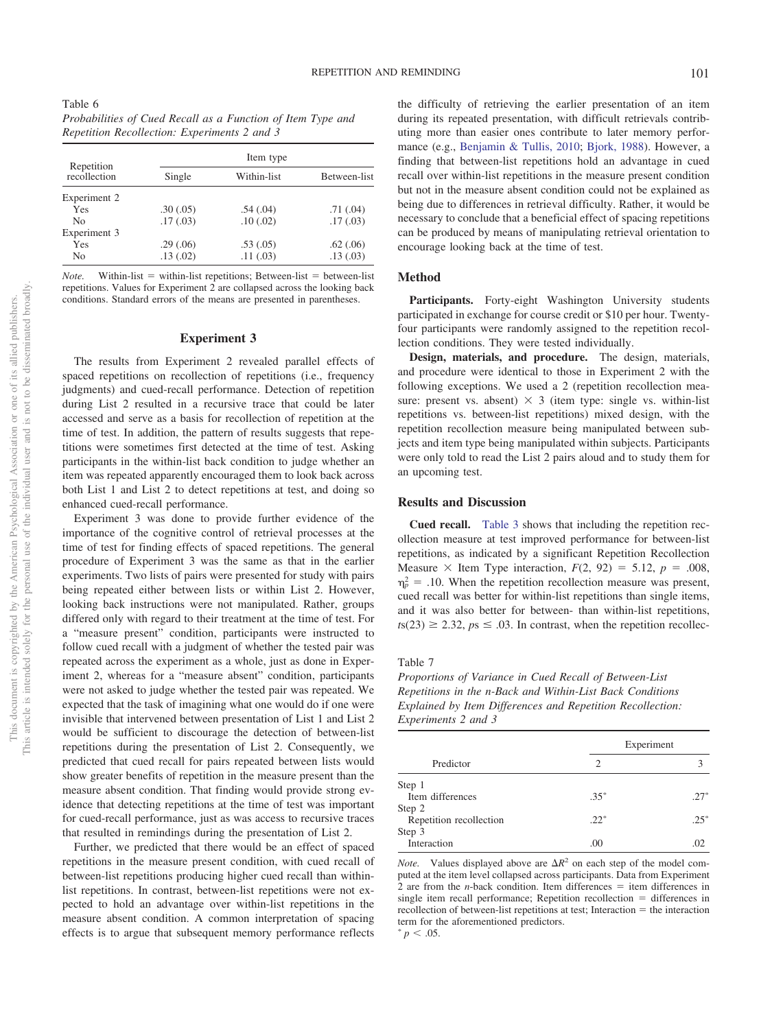<span id="page-7-0"></span>Table 6 *Probabilities of Cued Recall as a Function of Item Type and Repetition Recollection: Experiments 2 and 3*

| Repetition     |          | Item type   |              |
|----------------|----------|-------------|--------------|
| recollection   | Single   | Within-list | Between-list |
| Experiment 2   |          |             |              |
| Yes            | .30(.05) | .54(.04)    | .71(.04)     |
| N <sub>0</sub> | .17(03)  | .10(0.02)   | .17(.03)     |
| Experiment 3   |          |             |              |
| Yes            | .29(.06) | .53(.05)    | .62(.06)     |
| N <sub>0</sub> | .13(02)  | .11(0.03)   | .13(0.03)    |
|                |          |             |              |

*Note.* Within-list = within-list repetitions; Between-list = between-list repetitions. Values for Experiment 2 are collapsed across the looking back conditions. Standard errors of the means are presented in parentheses.

### **Experiment 3**

The results from Experiment 2 revealed parallel effects of spaced repetitions on recollection of repetitions (i.e., frequency judgments) and cued-recall performance. Detection of repetition during List 2 resulted in a recursive trace that could be later accessed and serve as a basis for recollection of repetition at the time of test. In addition, the pattern of results suggests that repetitions were sometimes first detected at the time of test. Asking participants in the within-list back condition to judge whether an item was repeated apparently encouraged them to look back across both List 1 and List 2 to detect repetitions at test, and doing so enhanced cued-recall performance.

Experiment 3 was done to provide further evidence of the importance of the cognitive control of retrieval processes at the time of test for finding effects of spaced repetitions. The general procedure of Experiment 3 was the same as that in the earlier experiments. Two lists of pairs were presented for study with pairs being repeated either between lists or within List 2. However, looking back instructions were not manipulated. Rather, groups differed only with regard to their treatment at the time of test. For a "measure present" condition, participants were instructed to follow cued recall with a judgment of whether the tested pair was repeated across the experiment as a whole, just as done in Experiment 2, whereas for a "measure absent" condition, participants were not asked to judge whether the tested pair was repeated. We expected that the task of imagining what one would do if one were invisible that intervened between presentation of List 1 and List 2 would be sufficient to discourage the detection of between-list repetitions during the presentation of List 2. Consequently, we predicted that cued recall for pairs repeated between lists would show greater benefits of repetition in the measure present than the measure absent condition. That finding would provide strong evidence that detecting repetitions at the time of test was important for cued-recall performance, just as was access to recursive traces that resulted in remindings during the presentation of List 2.

Further, we predicted that there would be an effect of spaced repetitions in the measure present condition, with cued recall of between-list repetitions producing higher cued recall than withinlist repetitions. In contrast, between-list repetitions were not expected to hold an advantage over within-list repetitions in the measure absent condition. A common interpretation of spacing effects is to argue that subsequent memory performance reflects

the difficulty of retrieving the earlier presentation of an item during its repeated presentation, with difficult retrievals contributing more than easier ones contribute to later memory performance (e.g., [Benjamin & Tullis, 2010;](#page-10-3) [Bjork, 1988\)](#page-10-9). However, a finding that between-list repetitions hold an advantage in cued recall over within-list repetitions in the measure present condition but not in the measure absent condition could not be explained as being due to differences in retrieval difficulty. Rather, it would be necessary to conclude that a beneficial effect of spacing repetitions can be produced by means of manipulating retrieval orientation to encourage looking back at the time of test.

# **Method**

**Participants.** Forty-eight Washington University students participated in exchange for course credit or \$10 per hour. Twentyfour participants were randomly assigned to the repetition recollection conditions. They were tested individually.

**Design, materials, and procedure.** The design, materials, and procedure were identical to those in Experiment 2 with the following exceptions. We used a 2 (repetition recollection measure: present vs. absent)  $\times$  3 (item type: single vs. within-list repetitions vs. between-list repetitions) mixed design, with the repetition recollection measure being manipulated between subjects and item type being manipulated within subjects. Participants were only told to read the List 2 pairs aloud and to study them for an upcoming test.

# **Results and Discussion**

**Cued recall.** [Table 3](#page-4-0) shows that including the repetition recollection measure at test improved performance for between-list repetitions, as indicated by a significant Repetition Recollection Measure  $\times$  Item Type interaction,  $F(2, 92) = 5.12$ ,  $p = .008$ ,  $\eta_p^2 = .10$ . When the repetition recollection measure was present, cued recall was better for within-list repetitions than single items, and it was also better for between- than within-list repetitions,  $t s(23) \ge 2.32$ ,  $p s \le .03$ . In contrast, when the repetition recollec-

# <span id="page-7-1"></span>Table 7

*Proportions of Variance in Cued Recall of Between-List Repetitions in the n-Back and Within-List Back Conditions Explained by Item Differences and Repetition Recollection: Experiments 2 and 3*

|                         | Experiment |        |  |
|-------------------------|------------|--------|--|
| Predictor               | 2          |        |  |
| Step 1                  |            |        |  |
| Item differences        | $.35*$     | $27*$  |  |
| Step 2                  |            |        |  |
| Repetition recollection | $.22*$     | $25^*$ |  |
| Step 3                  |            |        |  |
| Interaction             | .00        | .02    |  |
|                         |            |        |  |

*Note.* Values displayed above are  $\Delta R^2$  on each step of the model computed at the item level collapsed across participants. Data from Experiment 2 are from the  $n$ -back condition. Item differences  $=$  item differences in single item recall performance; Repetition recollection  $=$  differences in recollection of between-list repetitions at test; Interaction  $=$  the interaction term for the aforementioned predictors.  $p < .05$ .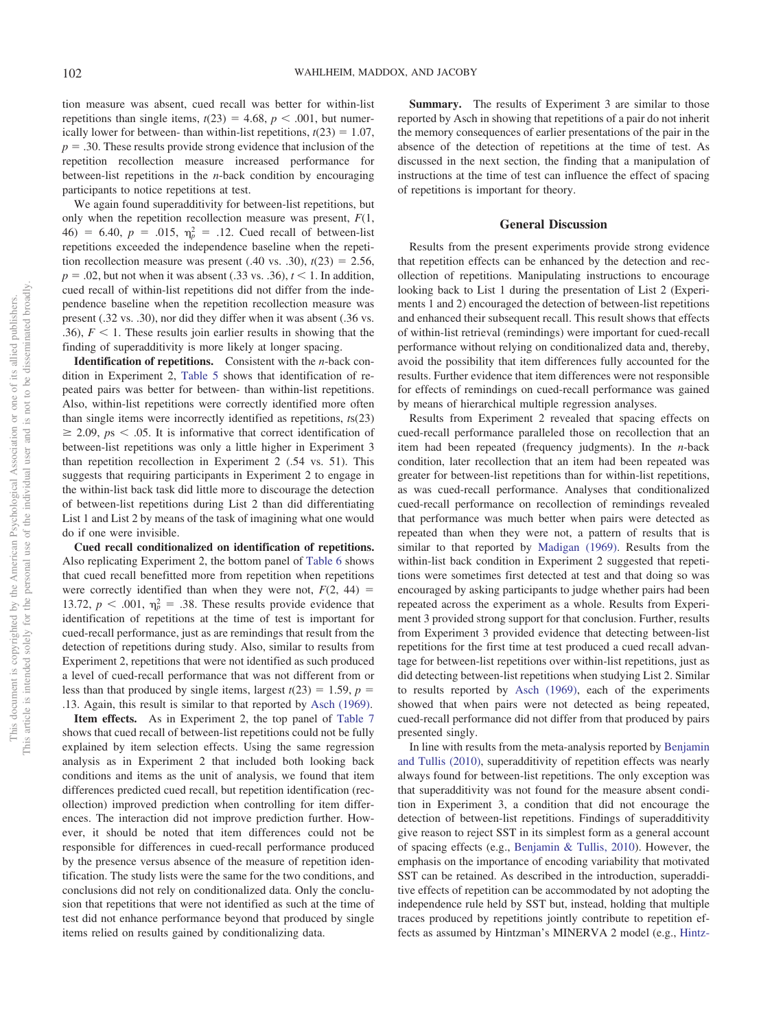tion measure was absent, cued recall was better for within-list repetitions than single items,  $t(23) = 4.68$ ,  $p < .001$ , but numerically lower for between- than within-list repetitions,  $t(23) = 1.07$ ,  $p = .30$ . These results provide strong evidence that inclusion of the repetition recollection measure increased performance for between-list repetitions in the *n*-back condition by encouraging participants to notice repetitions at test.

We again found superadditivity for between-list repetitions, but only when the repetition recollection measure was present, *F*(1,  $46) = 6.40, p = .015, \eta_p^2 = .12. \text{ Cued recall of between-list}$ repetitions exceeded the independence baseline when the repetition recollection measure was present  $(.40 \text{ vs. } .30)$ ,  $t(23) = 2.56$ ,  $p = .02$ , but not when it was absent (.33 vs. .36),  $t \le 1$ . In addition, cued recall of within-list repetitions did not differ from the independence baseline when the repetition recollection measure was present (.32 vs. .30), nor did they differ when it was absent (.36 vs. .36),  $F < 1$ . These results join earlier results in showing that the finding of superadditivity is more likely at longer spacing.

**Identification of repetitions.** Consistent with the *n*-back condition in Experiment 2, [Table 5](#page-6-0) shows that identification of repeated pairs was better for between- than within-list repetitions. Also, within-list repetitions were correctly identified more often than single items were incorrectly identified as repetitions, *t*s(23)  $\geq$  2.09, *ps*  $\lt$  .05. It is informative that correct identification of between-list repetitions was only a little higher in Experiment 3 than repetition recollection in Experiment 2 (.54 vs. 51). This suggests that requiring participants in Experiment 2 to engage in the within-list back task did little more to discourage the detection of between-list repetitions during List 2 than did differentiating List 1 and List 2 by means of the task of imagining what one would do if one were invisible.

**Cued recall conditionalized on identification of repetitions.** Also replicating Experiment 2, the bottom panel of [Table 6](#page-7-0) shows that cued recall benefitted more from repetition when repetitions were correctly identified than when they were not,  $F(2, 44) =$ 13.72,  $p < .001$ ,  $\eta_p^2 = .38$ . These results provide evidence that identification of repetitions at the time of test is important for cued-recall performance, just as are remindings that result from the detection of repetitions during study. Also, similar to results from Experiment 2, repetitions that were not identified as such produced a level of cued-recall performance that was not different from or less than that produced by single items, largest  $t(23) = 1.59$ ,  $p =$ .13. Again, this result is similar to that reported by [Asch \(1969\).](#page-10-0)

**Item effects.** As in Experiment 2, the top panel of [Table 7](#page-7-1) shows that cued recall of between-list repetitions could not be fully explained by item selection effects. Using the same regression analysis as in Experiment 2 that included both looking back conditions and items as the unit of analysis, we found that item differences predicted cued recall, but repetition identification (recollection) improved prediction when controlling for item differences. The interaction did not improve prediction further. However, it should be noted that item differences could not be responsible for differences in cued-recall performance produced by the presence versus absence of the measure of repetition identification. The study lists were the same for the two conditions, and conclusions did not rely on conditionalized data. Only the conclusion that repetitions that were not identified as such at the time of test did not enhance performance beyond that produced by single items relied on results gained by conditionalizing data.

**Summary.** The results of Experiment 3 are similar to those reported by Asch in showing that repetitions of a pair do not inherit the memory consequences of earlier presentations of the pair in the absence of the detection of repetitions at the time of test. As discussed in the next section, the finding that a manipulation of instructions at the time of test can influence the effect of spacing of repetitions is important for theory.

#### **General Discussion**

Results from the present experiments provide strong evidence that repetition effects can be enhanced by the detection and recollection of repetitions. Manipulating instructions to encourage looking back to List 1 during the presentation of List 2 (Experiments 1 and 2) encouraged the detection of between-list repetitions and enhanced their subsequent recall. This result shows that effects of within-list retrieval (remindings) were important for cued-recall performance without relying on conditionalized data and, thereby, avoid the possibility that item differences fully accounted for the results. Further evidence that item differences were not responsible for effects of remindings on cued-recall performance was gained by means of hierarchical multiple regression analyses.

Results from Experiment 2 revealed that spacing effects on cued-recall performance paralleled those on recollection that an item had been repeated (frequency judgments). In the *n-*back condition, later recollection that an item had been repeated was greater for between-list repetitions than for within-list repetitions, as was cued-recall performance. Analyses that conditionalized cued-recall performance on recollection of remindings revealed that performance was much better when pairs were detected as repeated than when they were not, a pattern of results that is similar to that reported by [Madigan \(1969\).](#page-10-8) Results from the within-list back condition in Experiment 2 suggested that repetitions were sometimes first detected at test and that doing so was encouraged by asking participants to judge whether pairs had been repeated across the experiment as a whole. Results from Experiment 3 provided strong support for that conclusion. Further, results from Experiment 3 provided evidence that detecting between-list repetitions for the first time at test produced a cued recall advantage for between-list repetitions over within-list repetitions, just as did detecting between-list repetitions when studying List 2. Similar to results reported by [Asch \(1969\),](#page-10-0) each of the experiments showed that when pairs were not detected as being repeated, cued-recall performance did not differ from that produced by pairs presented singly.

In line with results from the meta-analysis reported by [Benjamin](#page-10-3) [and Tullis \(2010\),](#page-10-3) superadditivity of repetition effects was nearly always found for between-list repetitions. The only exception was that superadditivity was not found for the measure absent condition in Experiment 3, a condition that did not encourage the detection of between-list repetitions. Findings of superadditivity give reason to reject SST in its simplest form as a general account of spacing effects (e.g., [Benjamin & Tullis, 2010\)](#page-10-3). However, the emphasis on the importance of encoding variability that motivated SST can be retained. As described in the introduction, superadditive effects of repetition can be accommodated by not adopting the independence rule held by SST but, instead, holding that multiple traces produced by repetitions jointly contribute to repetition effects as assumed by Hintzman's MINERVA 2 model (e.g., [Hintz-](#page-10-22)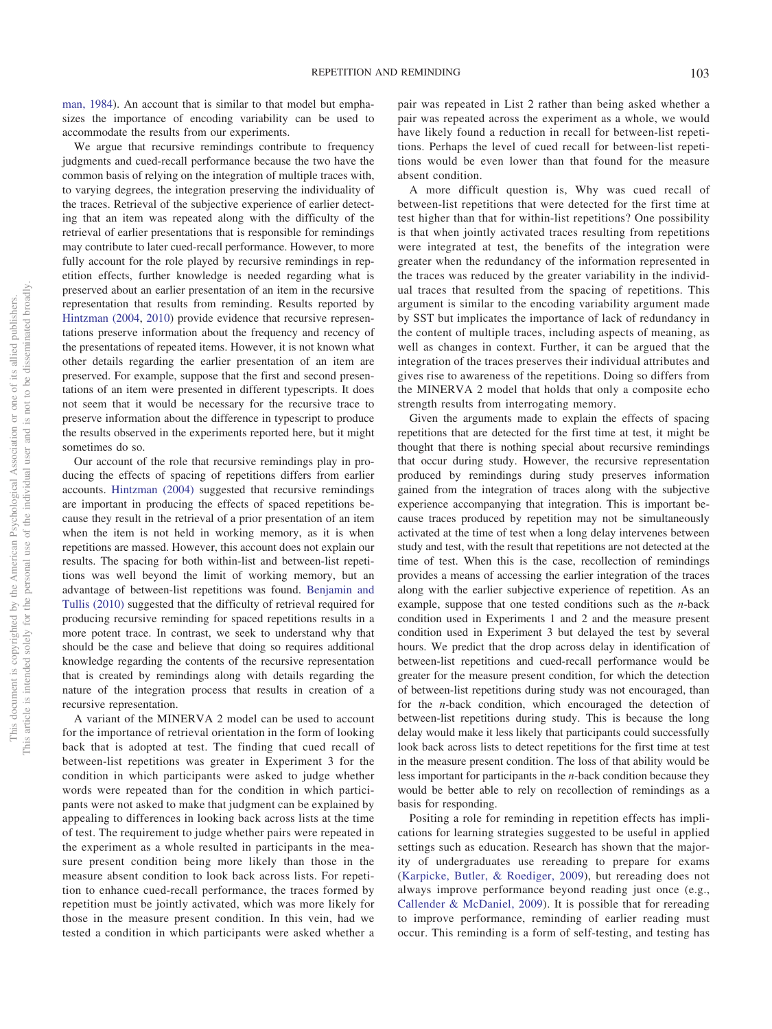[man, 1984\)](#page-10-22). An account that is similar to that model but emphasizes the importance of encoding variability can be used to accommodate the results from our experiments.

We argue that recursive remindings contribute to frequency judgments and cued-recall performance because the two have the common basis of relying on the integration of multiple traces with, to varying degrees, the integration preserving the individuality of the traces. Retrieval of the subjective experience of earlier detecting that an item was repeated along with the difficulty of the retrieval of earlier presentations that is responsible for remindings may contribute to later cued-recall performance. However, to more fully account for the role played by recursive remindings in repetition effects, further knowledge is needed regarding what is preserved about an earlier presentation of an item in the recursive representation that results from reminding. Results reported by [Hintzman \(2004,](#page-10-20) [2010\)](#page-10-21) provide evidence that recursive representations preserve information about the frequency and recency of the presentations of repeated items. However, it is not known what other details regarding the earlier presentation of an item are preserved. For example, suppose that the first and second presentations of an item were presented in different typescripts. It does not seem that it would be necessary for the recursive trace to preserve information about the difference in typescript to produce the results observed in the experiments reported here, but it might sometimes do so.

Our account of the role that recursive remindings play in producing the effects of spacing of repetitions differs from earlier accounts. [Hintzman \(2004\)](#page-10-20) suggested that recursive remindings are important in producing the effects of spaced repetitions because they result in the retrieval of a prior presentation of an item when the item is not held in working memory, as it is when repetitions are massed. However, this account does not explain our results. The spacing for both within-list and between-list repetitions was well beyond the limit of working memory, but an advantage of between-list repetitions was found. [Benjamin and](#page-10-3) [Tullis \(2010\)](#page-10-3) suggested that the difficulty of retrieval required for producing recursive reminding for spaced repetitions results in a more potent trace. In contrast, we seek to understand why that should be the case and believe that doing so requires additional knowledge regarding the contents of the recursive representation that is created by remindings along with details regarding the nature of the integration process that results in creation of a recursive representation.

A variant of the MINERVA 2 model can be used to account for the importance of retrieval orientation in the form of looking back that is adopted at test. The finding that cued recall of between-list repetitions was greater in Experiment 3 for the condition in which participants were asked to judge whether words were repeated than for the condition in which participants were not asked to make that judgment can be explained by appealing to differences in looking back across lists at the time of test. The requirement to judge whether pairs were repeated in the experiment as a whole resulted in participants in the measure present condition being more likely than those in the measure absent condition to look back across lists. For repetition to enhance cued-recall performance, the traces formed by repetition must be jointly activated, which was more likely for those in the measure present condition. In this vein, had we tested a condition in which participants were asked whether a

pair was repeated in List 2 rather than being asked whether a pair was repeated across the experiment as a whole, we would have likely found a reduction in recall for between-list repetitions. Perhaps the level of cued recall for between-list repetitions would be even lower than that found for the measure absent condition.

A more difficult question is, Why was cued recall of between-list repetitions that were detected for the first time at test higher than that for within-list repetitions? One possibility is that when jointly activated traces resulting from repetitions were integrated at test, the benefits of the integration were greater when the redundancy of the information represented in the traces was reduced by the greater variability in the individual traces that resulted from the spacing of repetitions. This argument is similar to the encoding variability argument made by SST but implicates the importance of lack of redundancy in the content of multiple traces, including aspects of meaning, as well as changes in context. Further, it can be argued that the integration of the traces preserves their individual attributes and gives rise to awareness of the repetitions. Doing so differs from the MINERVA 2 model that holds that only a composite echo strength results from interrogating memory.

Given the arguments made to explain the effects of spacing repetitions that are detected for the first time at test, it might be thought that there is nothing special about recursive remindings that occur during study. However, the recursive representation produced by remindings during study preserves information gained from the integration of traces along with the subjective experience accompanying that integration. This is important because traces produced by repetition may not be simultaneously activated at the time of test when a long delay intervenes between study and test, with the result that repetitions are not detected at the time of test. When this is the case, recollection of remindings provides a means of accessing the earlier integration of the traces along with the earlier subjective experience of repetition. As an example, suppose that one tested conditions such as the *n-*back condition used in Experiments 1 and 2 and the measure present condition used in Experiment 3 but delayed the test by several hours. We predict that the drop across delay in identification of between-list repetitions and cued-recall performance would be greater for the measure present condition, for which the detection of between-list repetitions during study was not encouraged, than for the *n-*back condition, which encouraged the detection of between-list repetitions during study. This is because the long delay would make it less likely that participants could successfully look back across lists to detect repetitions for the first time at test in the measure present condition. The loss of that ability would be less important for participants in the *n-*back condition because they would be better able to rely on recollection of remindings as a basis for responding.

Positing a role for reminding in repetition effects has implications for learning strategies suggested to be useful in applied settings such as education. Research has shown that the majority of undergraduates use rereading to prepare for exams [\(Karpicke, Butler, & Roediger, 2009\)](#page-10-28), but rereading does not always improve performance beyond reading just once (e.g., [Callender & McDaniel, 2009\)](#page-10-29). It is possible that for rereading to improve performance, reminding of earlier reading must occur. This reminding is a form of self-testing, and testing has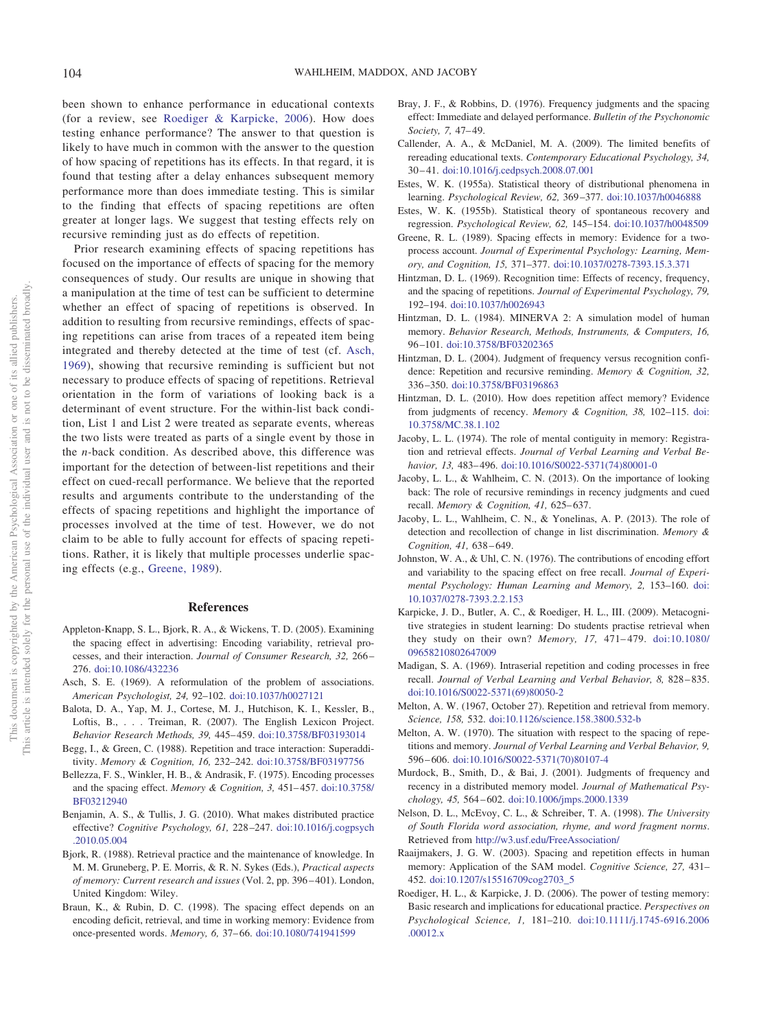<span id="page-10-26"></span>been shown to enhance performance in educational contexts (for a review, see [Roediger & Karpicke, 2006\)](#page-10-1). How does testing enhance performance? The answer to that question is likely to have much in common with the answer to the question of how spacing of repetitions has its effects. In that regard, it is found that testing after a delay enhances subsequent memory performance more than does immediate testing. This is similar to the finding that effects of spacing repetitions are often greater at longer lags. We suggest that testing effects rely on recursive reminding just as do effects of repetition.

Prior research examining effects of spacing repetitions has focused on the importance of effects of spacing for the memory consequences of study. Our results are unique in showing that a manipulation at the time of test can be sufficient to determine whether an effect of spacing of repetitions is observed. In addition to resulting from recursive remindings, effects of spacing repetitions can arise from traces of a repeated item being integrated and thereby detected at the time of test (cf. [Asch,](#page-10-0) [1969\)](#page-10-0), showing that recursive reminding is sufficient but not necessary to produce effects of spacing of repetitions. Retrieval orientation in the form of variations of looking back is a determinant of event structure. For the within-list back condition, List 1 and List 2 were treated as separate events, whereas the two lists were treated as parts of a single event by those in the *n-*back condition. As described above, this difference was important for the detection of between-list repetitions and their effect on cued-recall performance. We believe that the reported results and arguments contribute to the understanding of the effects of spacing repetitions and highlight the importance of processes involved at the time of test. However, we do not claim to be able to fully account for effects of spacing repetitions. Rather, it is likely that multiple processes underlie spacing effects (e.g., [Greene, 1989\)](#page-10-5).

#### **References**

- <span id="page-10-2"></span>Appleton-Knapp, S. L., Bjork, R. A., & Wickens, T. D. (2005). Examining the spacing effect in advertising: Encoding variability, retrieval processes, and their interaction. *Journal of Consumer Research, 32,* 266 – 276. [doi:10.1086/432236](http://dx.doi.org/10.1086/432236)
- <span id="page-10-0"></span>Asch, S. E. (1969). A reformulation of the problem of associations. *American Psychologist, 24,* 92–102. [doi:10.1037/h0027121](http://dx.doi.org/10.1037/h0027121)
- <span id="page-10-24"></span>Balota, D. A., Yap, M. J., Cortese, M. J., Hutchison, K. I., Kessler, B., Loftis, B.,... Treiman, R. (2007). The English Lexicon Project. *Behavior Research Methods, 39,* 445– 459. [doi:10.3758/BF03193014](http://dx.doi.org/10.3758/BF03193014)
- <span id="page-10-19"></span>Begg, I., & Green, C. (1988). Repetition and trace interaction: Superadditivity. *Memory & Cognition, 16,* 232–242. [doi:10.3758/BF03197756](http://dx.doi.org/10.3758/BF03197756)
- <span id="page-10-10"></span>Bellezza, F. S., Winkler, H. B., & Andrasik, F. (1975). Encoding processes and the spacing effect. *Memory & Cognition, 3,* 451– 457. [doi:10.3758/](http://dx.doi.org/10.3758/BF03212940) [BF03212940](http://dx.doi.org/10.3758/BF03212940)
- <span id="page-10-3"></span>Benjamin, A. S., & Tullis, J. G. (2010). What makes distributed practice effective? *Cognitive Psychology, 61,* 228 –247. [doi:10.1016/j.cogpsych](http://dx.doi.org/10.1016/j.cogpsych.2010.05.004) [.2010.05.004](http://dx.doi.org/10.1016/j.cogpsych.2010.05.004)
- <span id="page-10-9"></span>Bjork, R. (1988). Retrieval practice and the maintenance of knowledge. In M. M. Gruneberg, P. E. Morris, & R. N. Sykes (Eds.), *Practical aspects of memory: Current research and issues* (Vol. 2, pp. 396 – 401). London, United Kingdom: Wiley.
- <span id="page-10-4"></span>Braun, K., & Rubin, D. C. (1998). The spacing effect depends on an encoding deficit, retrieval, and time in working memory: Evidence from once-presented words. *Memory, 6,* 37– 66. [doi:10.1080/741941599](http://dx.doi.org/10.1080/741941599)
- <span id="page-10-11"></span>Bray, J. F., & Robbins, D. (1976). Frequency judgments and the spacing effect: Immediate and delayed performance. *Bulletin of the Psychonomic Society, 7,* 47– 49.
- <span id="page-10-29"></span>Callender, A. A., & McDaniel, M. A. (2009). The limited benefits of rereading educational texts. *Contemporary Educational Psychology, 34,* 30 – 41. [doi:10.1016/j.cedpsych.2008.07.001](http://dx.doi.org/10.1016/j.cedpsych.2008.07.001)
- <span id="page-10-16"></span>Estes, W. K. (1955a). Statistical theory of distributional phenomena in learning. *Psychological Review, 62,* 369 –377. [doi:10.1037/h0046888](http://dx.doi.org/10.1037/h0046888)
- <span id="page-10-17"></span>Estes, W. K. (1955b). Statistical theory of spontaneous recovery and regression. *Psychological Review, 62,* 145–154. [doi:10.1037/h0048509](http://dx.doi.org/10.1037/h0048509)
- <span id="page-10-5"></span>Greene, R. L. (1989). Spacing effects in memory: Evidence for a twoprocess account. *Journal of Experimental Psychology: Learning, Memory, and Cognition, 15,* 371–377. [doi:10.1037/0278-7393.15.3.371](http://dx.doi.org/10.1037/0278-7393.15.3.371)
- <span id="page-10-27"></span>Hintzman, D. L. (1969). Recognition time: Effects of recency, frequency, and the spacing of repetitions. *Journal of Experimental Psychology, 79,* 192–194. [doi:10.1037/h0026943](http://dx.doi.org/10.1037/h0026943)
- <span id="page-10-22"></span>Hintzman, D. L. (1984). MINERVA 2: A simulation model of human memory. *Behavior Research, Methods, Instruments, & Computers, 16,* 96 –101. [doi:10.3758/BF03202365](http://dx.doi.org/10.3758/BF03202365)
- <span id="page-10-20"></span>Hintzman, D. L. (2004). Judgment of frequency versus recognition confidence: Repetition and recursive reminding. *Memory & Cognition, 32,* 336 –350. [doi:10.3758/BF03196863](http://dx.doi.org/10.3758/BF03196863)
- <span id="page-10-21"></span>Hintzman, D. L. (2010). How does repetition affect memory? Evidence from judgments of recency. *Memory & Cognition, 38,* 102–115. [doi:](http://dx.doi.org/10.3758/MC.38.1.102) [10.3758/MC.38.1.102](http://dx.doi.org/10.3758/MC.38.1.102)
- <span id="page-10-14"></span>Jacoby, L. L. (1974). The role of mental contiguity in memory: Registration and retrieval effects. *Journal of Verbal Learning and Verbal Behavior, 13,* 483– 496. [doi:10.1016/S0022-5371\(74\)80001-0](http://dx.doi.org/10.1016/S0022-5371%2874%2980001-0)
- <span id="page-10-13"></span>Jacoby, L. L., & Wahlheim, C. N. (2013). On the importance of looking back: The role of recursive remindings in recency judgments and cued recall. *Memory & Cognition*, 41, 625-637.
- <span id="page-10-15"></span>Jacoby, L. L., Wahlheim, C. N., & Yonelinas, A. P. (2013). The role of detection and recollection of change in list discrimination. *Memory & Cognition, 41,* 638 – 649.
- <span id="page-10-12"></span>Johnston, W. A., & Uhl, C. N. (1976). The contributions of encoding effort and variability to the spacing effect on free recall. *Journal of Experimental Psychology: Human Learning and Memory, 2,* 153–160. [doi:](http://dx.doi.org/10.1037/0278-7393.2.2.153) [10.1037/0278-7393.2.2.153](http://dx.doi.org/10.1037/0278-7393.2.2.153)
- <span id="page-10-28"></span>Karpicke, J. D., Butler, A. C., & Roediger, H. L., III. (2009). Metacognitive strategies in student learning: Do students practise retrieval when they study on their own? *Memory, 17,* 471– 479. [doi:10.1080/](http://dx.doi.org/10.1080/09658210802647009) [09658210802647009](http://dx.doi.org/10.1080/09658210802647009)
- <span id="page-10-8"></span>Madigan, S. A. (1969). Intraserial repetition and coding processes in free recall. *Journal of Verbal Learning and Verbal Behavior, 8,* 828 – 835. [doi:10.1016/S0022-5371\(69\)80050-2](http://dx.doi.org/10.1016/S0022-5371%2869%2980050-2)
- <span id="page-10-7"></span>Melton, A. W. (1967, October 27). Repetition and retrieval from memory. *Science, 158,* 532. [doi:10.1126/science.158.3800.532-b](http://dx.doi.org/10.1126/science.158.3800.532-b)
- <span id="page-10-18"></span>Melton, A. W. (1970). The situation with respect to the spacing of repetitions and memory. *Journal of Verbal Learning and Verbal Behavior, 9,* 596 – 606. [doi:10.1016/S0022-5371\(70\)80107-4](http://dx.doi.org/10.1016/S0022-5371%2870%2980107-4)
- <span id="page-10-23"></span>Murdock, B., Smith, D., & Bai, J. (2001). Judgments of frequency and recency in a distributed memory model. *Journal of Mathematical Psychology, 45,* 564 – 602. [doi:10.1006/jmps.2000.1339](http://dx.doi.org/10.1006/jmps.2000.1339)
- <span id="page-10-25"></span>Nelson, D. L., McEvoy, C. L., & Schreiber, T. A. (1998). *The University of South Florida word association, rhyme, and word fragment norms*. Retrieved from <http://w3.usf.edu/FreeAssociation/>
- <span id="page-10-6"></span>Raaijmakers, J. G. W. (2003). Spacing and repetition effects in human memory: Application of the SAM model. *Cognitive Science, 27,* 431– 452. [doi:10.1207/s15516709cog2703\\_5](http://dx.doi.org/10.1207/s15516709cog2703_5)
- <span id="page-10-1"></span>Roediger, H. L., & Karpicke, J. D. (2006). The power of testing memory: Basic research and implications for educational practice. *Perspectives on Psychological Science, 1,* 181–210. [doi:10.1111/j.1745-6916.2006](http://dx.doi.org/10.1111/j.1745-6916.2006.00012.x) [.00012.x](http://dx.doi.org/10.1111/j.1745-6916.2006.00012.x)